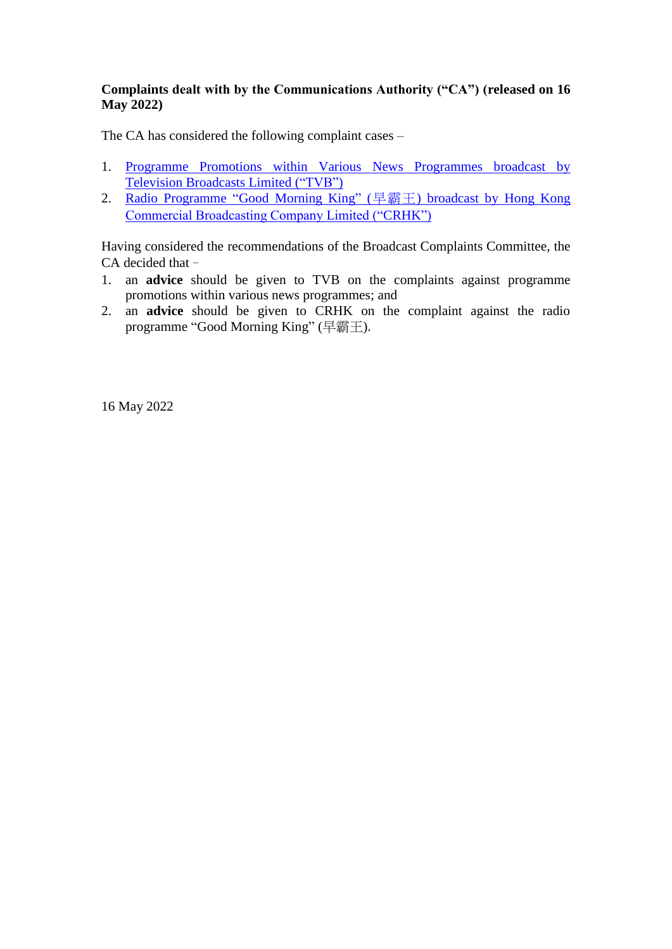## **Complaints dealt with by the Communications Authority ("CA") (released on 16 May 2022)**

The CA has considered the following complaint cases –

- 1. [Programme Promotions within Various News Programmes broadcast by](#page-1-0)  [Television Broadcasts Limited](#page-1-0) ("TVB")
- 2. [Radio Programme "Good Morning King"](#page-2-0) (早霸王) broadcast by Hong Kong [Commercial Broadcasting Company Limited \("CRHK"\)](#page-2-0)

Having considered the recommendations of the Broadcast Complaints Committee, the CA decided that–

- 1. an **advice** should be given to TVB on the complaints against programme promotions within various news programmes; and
- 2. an **advice** should be given to CRHK on the complaint against the radio programme "Good Morning King" (早霸王).

16 May 2022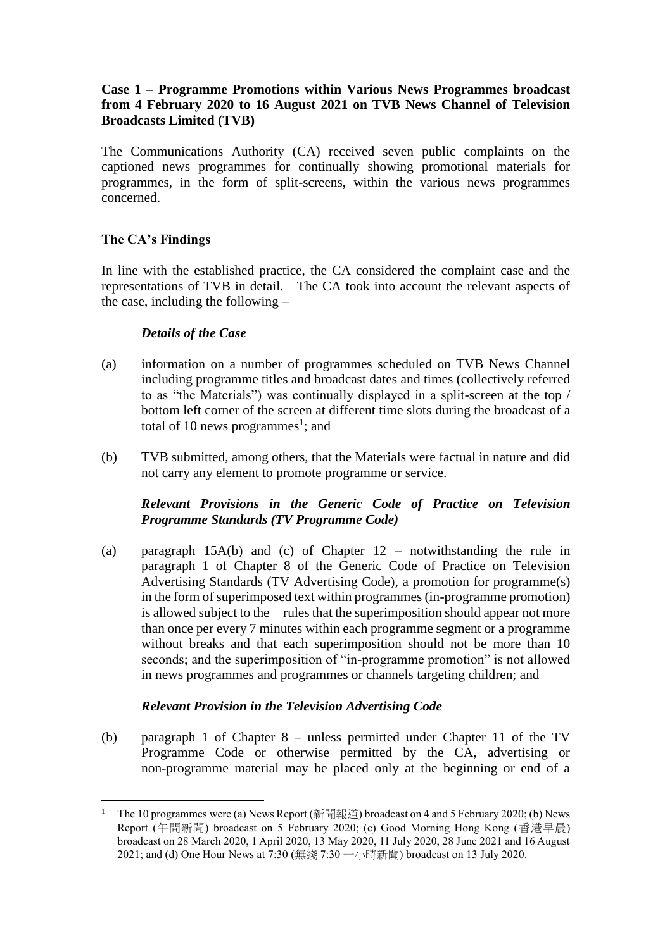### <span id="page-1-0"></span>**Case 1 – Programme Promotions within Various News Programmes broadcast from 4 February 2020 to 16 August 2021 on TVB News Channel of Television Broadcasts Limited (TVB)**

The Communications Authority (CA) received seven public complaints on the captioned news programmes for continually showing promotional materials for programmes, in the form of split-screens, within the various news programmes concerned.

## **The CA's Findings**

 $\overline{a}$ 

In line with the established practice, the CA considered the complaint case and the representations of TVB in detail. The CA took into account the relevant aspects of the case, including the following –

## *Details of the Case*

- (a) information on a number of programmes scheduled on TVB News Channel including programme titles and broadcast dates and times (collectively referred to as "the Materials") was continually displayed in a split-screen at the top / bottom left corner of the screen at different time slots during the broadcast of a total of 10 news programmes<sup>1</sup>; and
- (b) TVB submitted, among others, that the Materials were factual in nature and did not carry any element to promote programme or service.

### *Relevant Provisions in the Generic Code of Practice on Television Programme Standards (TV Programme Code)*

(a) paragraph 15A(b) and (c) of Chapter 12 – notwithstanding the rule in paragraph 1 of Chapter 8 of the Generic Code of Practice on Television Advertising Standards (TV Advertising Code), a promotion for programme(s) in the form of superimposed text within programmes (in-programme promotion) is allowed subject to the rules that the superimposition should appear not more than once per every 7 minutes within each programme segment or a programme without breaks and that each superimposition should not be more than 10 seconds; and the superimposition of "in-programme promotion" is not allowed in news programmes and programmes or channels targeting children; and

#### *Relevant Provision in the Television Advertising Code*

(b) paragraph 1 of Chapter 8 – unless permitted under Chapter 11 of the TV Programme Code or otherwise permitted by the CA, advertising or non-programme material may be placed only at the beginning or end of a

<sup>&</sup>lt;sup>1</sup> The 10 programmes were (a) News Report (新聞報道) broadcast on 4 and 5 February 2020; (b) News Report (午間新聞) broadcast on 5 February 2020; (c) Good Morning Hong Kong (香港早晨) broadcast on 28 March 2020, 1 April 2020, 13 May 2020, 11 July 2020, 28 June 2021 and 16 August 2021; and (d) One Hour News at 7:30 (無綫 7:30 一小時新聞) broadcast on 13 July 2020.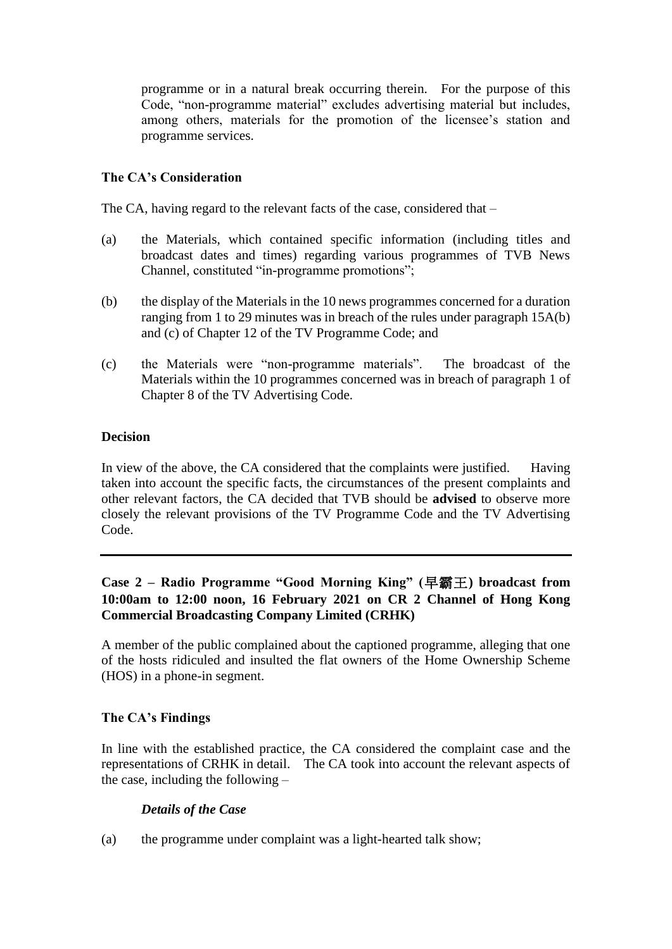programme or in a natural break occurring therein. For the purpose of this Code, "non-programme material" excludes advertising material but includes, among others, materials for the promotion of the licensee's station and programme services.

## **The CA's Consideration**

The CA, having regard to the relevant facts of the case, considered that –

- (a) the Materials, which contained specific information (including titles and broadcast dates and times) regarding various programmes of TVB News Channel, constituted "in-programme promotions";
- (b) the display of the Materials in the 10 news programmes concerned for a duration ranging from 1 to 29 minutes was in breach of the rules under paragraph 15A(b) and (c) of Chapter 12 of the TV Programme Code; and
- (c) the Materials were "non-programme materials". The broadcast of the Materials within the 10 programmes concerned was in breach of paragraph 1 of Chapter 8 of the TV Advertising Code.

### **Decision**

In view of the above, the CA considered that the complaints were justified. Having taken into account the specific facts, the circumstances of the present complaints and other relevant factors, the CA decided that TVB should be **advised** to observe more closely the relevant provisions of the TV Programme Code and the TV Advertising Code.

# <span id="page-2-0"></span>**Case 2 – Radio Programme "Good Morning King" (**早霸王**) broadcast from 10:00am to 12:00 noon, 16 February 2021 on CR 2 Channel of Hong Kong Commercial Broadcasting Company Limited (CRHK)**

A member of the public complained about the captioned programme, alleging that one of the hosts ridiculed and insulted the flat owners of the Home Ownership Scheme (HOS) in a phone-in segment.

## **The CA's Findings**

In line with the established practice, the CA considered the complaint case and the representations of CRHK in detail. The CA took into account the relevant aspects of the case, including the following –

## *Details of the Case*

(a) the programme under complaint was a light-hearted talk show;